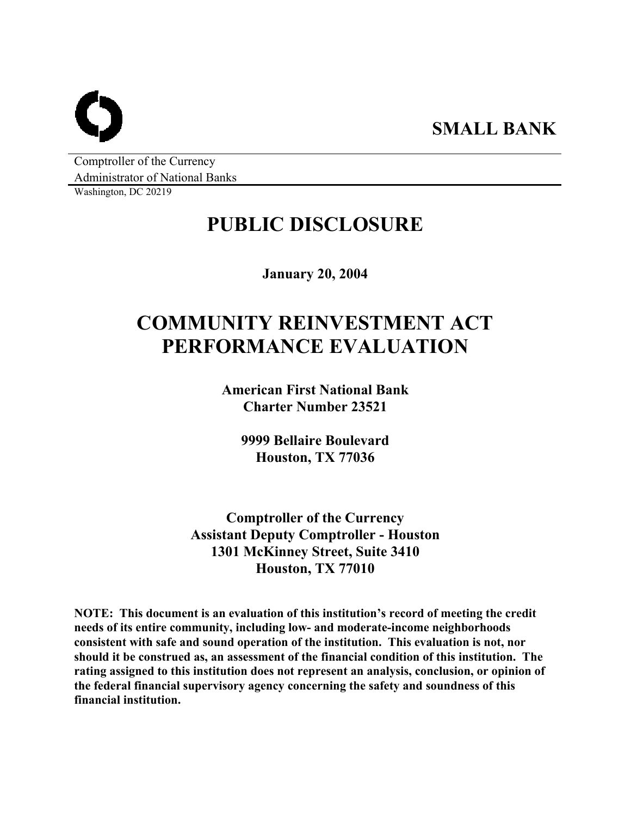Comptroller of the Currency Administrator of National Banks

Washington, DC 20219

# **PUBLIC DISCLOSURE**

**January 20, 2004** 

# **COMMUNITY REINVESTMENT ACT PERFORMANCE EVALUATION**

**American First National Bank Charter Number 23521** 

> **9999 Bellaire Boulevard Houston, TX 77036**

**Comptroller of the Currency Assistant Deputy Comptroller - Houston 1301 McKinney Street, Suite 3410 Houston, TX 77010** 

**NOTE: This document is an evaluation of this institution's record of meeting the credit needs of its entire community, including low- and moderate-income neighborhoods consistent with safe and sound operation of the institution. This evaluation is not, nor should it be construed as, an assessment of the financial condition of this institution. The rating assigned to this institution does not represent an analysis, conclusion, or opinion of the federal financial supervisory agency concerning the safety and soundness of this financial institution.**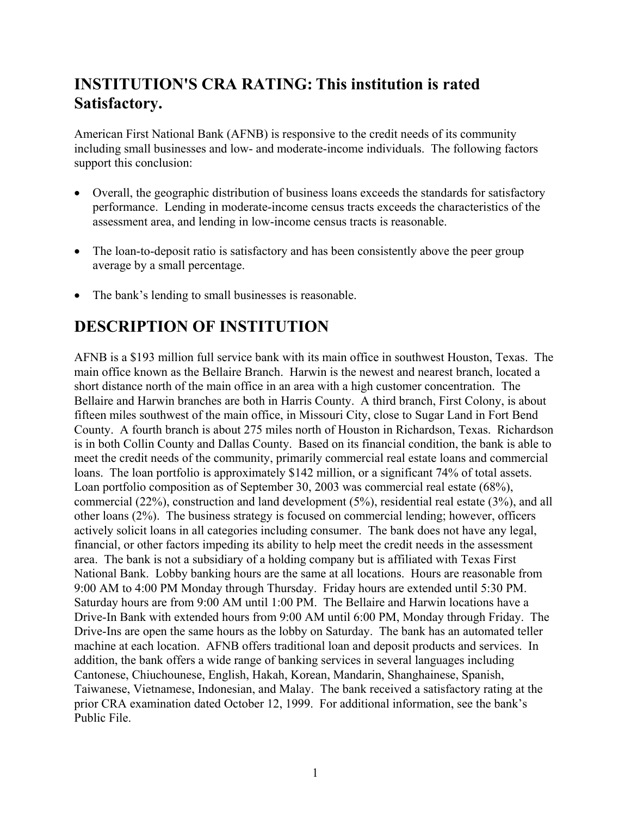## **INSTITUTION'S CRA RATING: This institution is rated Satisfactory.**

American First National Bank (AFNB) is responsive to the credit needs of its community including small businesses and low- and moderate-income individuals. The following factors support this conclusion:

- Overall, the geographic distribution of business loans exceeds the standards for satisfactory performance. Lending in moderate-income census tracts exceeds the characteristics of the assessment area, and lending in low-income census tracts is reasonable.
- The loan-to-deposit ratio is satisfactory and has been consistently above the peer group average by a small percentage.
- The bank's lending to small businesses is reasonable.

### **DESCRIPTION OF INSTITUTION**

AFNB is a \$193 million full service bank with its main office in southwest Houston, Texas. The main office known as the Bellaire Branch. Harwin is the newest and nearest branch, located a short distance north of the main office in an area with a high customer concentration. The Bellaire and Harwin branches are both in Harris County. A third branch, First Colony, is about fifteen miles southwest of the main office, in Missouri City, close to Sugar Land in Fort Bend County. A fourth branch is about 275 miles north of Houston in Richardson, Texas. Richardson is in both Collin County and Dallas County. Based on its financial condition, the bank is able to meet the credit needs of the community, primarily commercial real estate loans and commercial loans. The loan portfolio is approximately \$142 million, or a significant 74% of total assets. Loan portfolio composition as of September 30, 2003 was commercial real estate (68%), commercial (22%), construction and land development (5%), residential real estate (3%), and all other loans (2%). The business strategy is focused on commercial lending; however, officers actively solicit loans in all categories including consumer. The bank does not have any legal, financial, or other factors impeding its ability to help meet the credit needs in the assessment area. The bank is not a subsidiary of a holding company but is affiliated with Texas First National Bank. Lobby banking hours are the same at all locations. Hours are reasonable from 9:00 AM to 4:00 PM Monday through Thursday. Friday hours are extended until 5:30 PM. Saturday hours are from 9:00 AM until 1:00 PM. The Bellaire and Harwin locations have a Drive-In Bank with extended hours from 9:00 AM until 6:00 PM, Monday through Friday. The Drive-Ins are open the same hours as the lobby on Saturday. The bank has an automated teller machine at each location. AFNB offers traditional loan and deposit products and services. In addition, the bank offers a wide range of banking services in several languages including Cantonese, Chiuchounese, English, Hakah, Korean, Mandarin, Shanghainese, Spanish, Taiwanese, Vietnamese, Indonesian, and Malay. The bank received a satisfactory rating at the prior CRA examination dated October 12, 1999. For additional information, see the bank's Public File.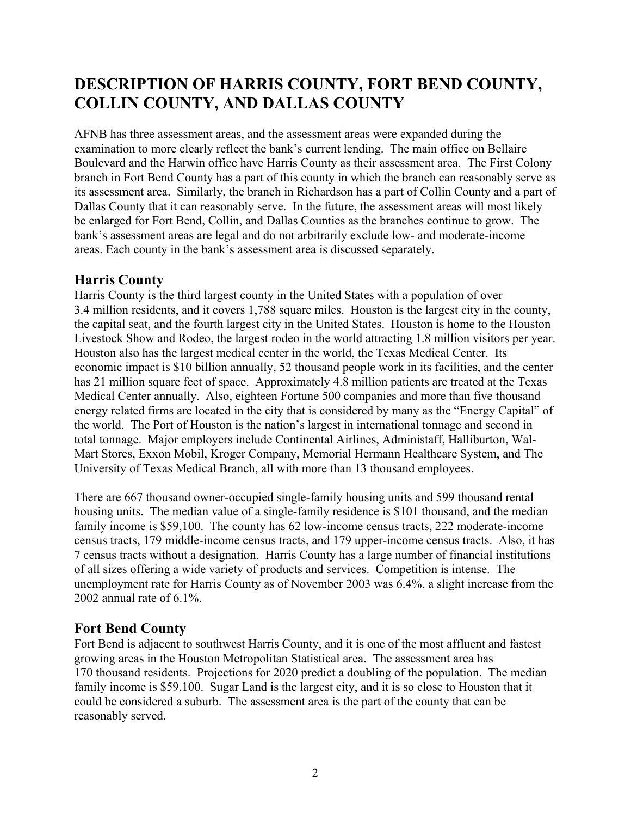## **DESCRIPTION OF HARRIS COUNTY, FORT BEND COUNTY, COLLIN COUNTY, AND DALLAS COUNTY**

AFNB has three assessment areas, and the assessment areas were expanded during the examination to more clearly reflect the bank's current lending. The main office on Bellaire Boulevard and the Harwin office have Harris County as their assessment area. The First Colony branch in Fort Bend County has a part of this county in which the branch can reasonably serve as its assessment area. Similarly, the branch in Richardson has a part of Collin County and a part of Dallas County that it can reasonably serve. In the future, the assessment areas will most likely be enlarged for Fort Bend, Collin, and Dallas Counties as the branches continue to grow. The bank's assessment areas are legal and do not arbitrarily exclude low- and moderate-income areas. Each county in the bank's assessment area is discussed separately.

### **Harris County**

Harris County is the third largest county in the United States with a population of over 3.4 million residents, and it covers 1,788 square miles. Houston is the largest city in the county, the capital seat, and the fourth largest city in the United States. Houston is home to the Houston Livestock Show and Rodeo, the largest rodeo in the world attracting 1.8 million visitors per year. Houston also has the largest medical center in the world, the Texas Medical Center. Its economic impact is \$10 billion annually, 52 thousand people work in its facilities, and the center has 21 million square feet of space. Approximately 4.8 million patients are treated at the Texas Medical Center annually. Also, eighteen Fortune 500 companies and more than five thousand energy related firms are located in the city that is considered by many as the "Energy Capital" of the world. The Port of Houston is the nation's largest in international tonnage and second in total tonnage. Major employers include Continental Airlines, Administaff, Halliburton, Wal-Mart Stores, Exxon Mobil, Kroger Company, Memorial Hermann Healthcare System, and The University of Texas Medical Branch, all with more than 13 thousand employees.

There are 667 thousand owner-occupied single-family housing units and 599 thousand rental housing units. The median value of a single-family residence is \$101 thousand, and the median family income is \$59,100. The county has 62 low-income census tracts, 222 moderate-income census tracts, 179 middle-income census tracts, and 179 upper-income census tracts. Also, it has 7 census tracts without a designation. Harris County has a large number of financial institutions of all sizes offering a wide variety of products and services. Competition is intense. The unemployment rate for Harris County as of November 2003 was 6.4%, a slight increase from the 2002 annual rate of 6.1%.

### **Fort Bend County**

Fort Bend is adjacent to southwest Harris County, and it is one of the most affluent and fastest growing areas in the Houston Metropolitan Statistical area. The assessment area has 170 thousand residents. Projections for 2020 predict a doubling of the population. The median family income is \$59,100. Sugar Land is the largest city, and it is so close to Houston that it could be considered a suburb. The assessment area is the part of the county that can be reasonably served.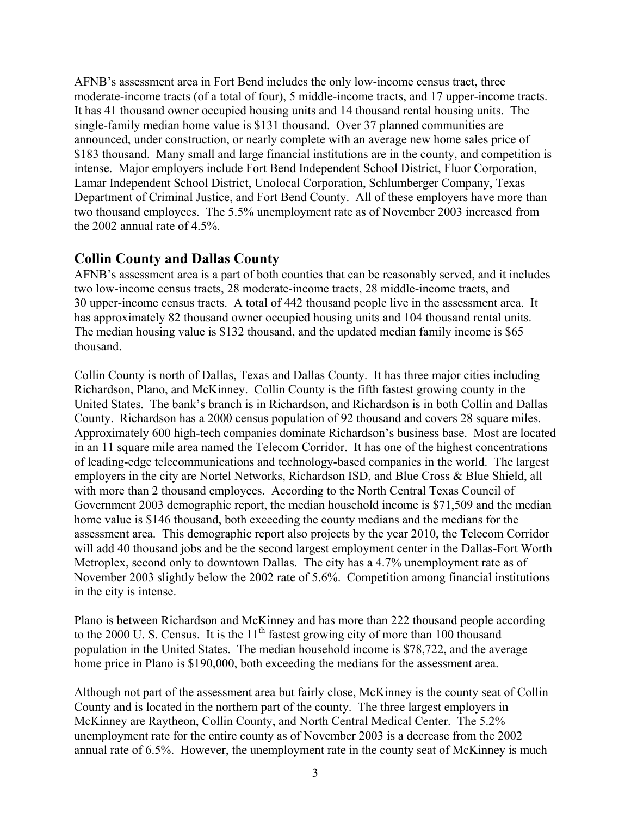AFNB's assessment area in Fort Bend includes the only low-income census tract, three moderate-income tracts (of a total of four), 5 middle-income tracts, and 17 upper-income tracts. It has 41 thousand owner occupied housing units and 14 thousand rental housing units. The single-family median home value is \$131 thousand. Over 37 planned communities are announced, under construction, or nearly complete with an average new home sales price of \$183 thousand. Many small and large financial institutions are in the county, and competition is intense. Major employers include Fort Bend Independent School District, Fluor Corporation, Lamar Independent School District, Unolocal Corporation, Schlumberger Company, Texas Department of Criminal Justice, and Fort Bend County. All of these employers have more than two thousand employees. The 5.5% unemployment rate as of November 2003 increased from the 2002 annual rate of 4.5%.

### **Collin County and Dallas County**

AFNB's assessment area is a part of both counties that can be reasonably served, and it includes two low-income census tracts, 28 moderate-income tracts, 28 middle-income tracts, and 30 upper-income census tracts. A total of 442 thousand people live in the assessment area. It has approximately 82 thousand owner occupied housing units and 104 thousand rental units. The median housing value is \$132 thousand, and the updated median family income is \$65 thousand.

Collin County is north of Dallas, Texas and Dallas County. It has three major cities including Richardson, Plano, and McKinney. Collin County is the fifth fastest growing county in the United States. The bank's branch is in Richardson, and Richardson is in both Collin and Dallas County. Richardson has a 2000 census population of 92 thousand and covers 28 square miles. Approximately 600 high-tech companies dominate Richardson's business base. Most are located in an 11 square mile area named the Telecom Corridor. It has one of the highest concentrations of leading-edge telecommunications and technology-based companies in the world. The largest employers in the city are Nortel Networks, Richardson ISD, and Blue Cross & Blue Shield, all with more than 2 thousand employees. According to the North Central Texas Council of Government 2003 demographic report, the median household income is \$71,509 and the median home value is \$146 thousand, both exceeding the county medians and the medians for the assessment area. This demographic report also projects by the year 2010, the Telecom Corridor will add 40 thousand jobs and be the second largest employment center in the Dallas-Fort Worth Metroplex, second only to downtown Dallas. The city has a 4.7% unemployment rate as of November 2003 slightly below the 2002 rate of 5.6%. Competition among financial institutions in the city is intense.

Plano is between Richardson and McKinney and has more than 222 thousand people according to the 2000 U. S. Census. It is the  $11<sup>th</sup>$  fastest growing city of more than 100 thousand population in the United States. The median household income is \$78,722, and the average home price in Plano is \$190,000, both exceeding the medians for the assessment area.

Although not part of the assessment area but fairly close, McKinney is the county seat of Collin County and is located in the northern part of the county. The three largest employers in McKinney are Raytheon, Collin County, and North Central Medical Center. The 5.2% unemployment rate for the entire county as of November 2003 is a decrease from the 2002 annual rate of 6.5%. However, the unemployment rate in the county seat of McKinney is much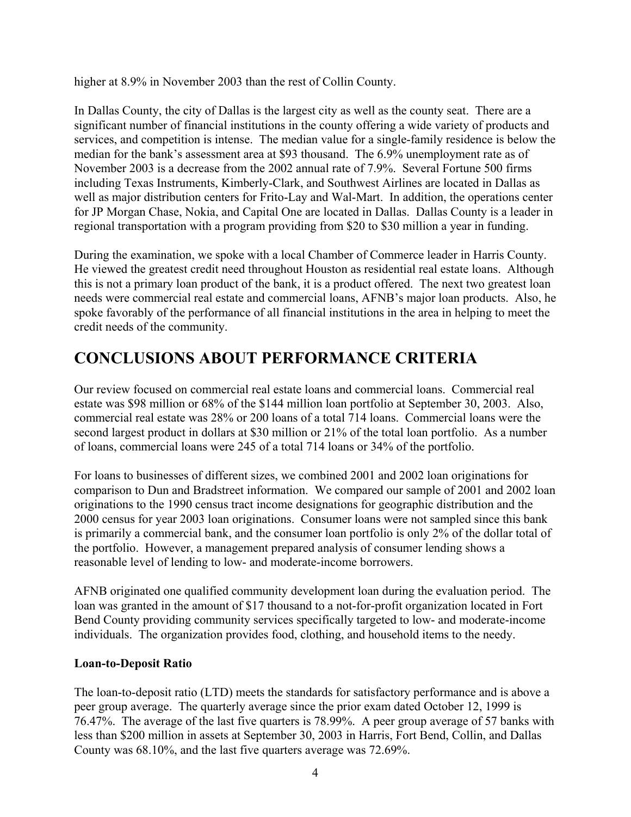higher at 8.9% in November 2003 than the rest of Collin County.

In Dallas County, the city of Dallas is the largest city as well as the county seat. There are a significant number of financial institutions in the county offering a wide variety of products and services, and competition is intense. The median value for a single-family residence is below the median for the bank's assessment area at \$93 thousand. The 6.9% unemployment rate as of November 2003 is a decrease from the 2002 annual rate of 7.9%. Several Fortune 500 firms including Texas Instruments, Kimberly-Clark, and Southwest Airlines are located in Dallas as well as major distribution centers for Frito-Lay and Wal-Mart. In addition, the operations center for JP Morgan Chase, Nokia, and Capital One are located in Dallas. Dallas County is a leader in regional transportation with a program providing from \$20 to \$30 million a year in funding.

During the examination, we spoke with a local Chamber of Commerce leader in Harris County. He viewed the greatest credit need throughout Houston as residential real estate loans. Although this is not a primary loan product of the bank, it is a product offered. The next two greatest loan needs were commercial real estate and commercial loans, AFNB's major loan products. Also, he spoke favorably of the performance of all financial institutions in the area in helping to meet the credit needs of the community.

### **CONCLUSIONS ABOUT PERFORMANCE CRITERIA**

Our review focused on commercial real estate loans and commercial loans. Commercial real estate was \$98 million or 68% of the \$144 million loan portfolio at September 30, 2003. Also, commercial real estate was 28% or 200 loans of a total 714 loans. Commercial loans were the second largest product in dollars at \$30 million or 21% of the total loan portfolio. As a number of loans, commercial loans were 245 of a total 714 loans or 34% of the portfolio.

For loans to businesses of different sizes, we combined 2001 and 2002 loan originations for comparison to Dun and Bradstreet information. We compared our sample of 2001 and 2002 loan originations to the 1990 census tract income designations for geographic distribution and the 2000 census for year 2003 loan originations. Consumer loans were not sampled since this bank is primarily a commercial bank, and the consumer loan portfolio is only 2% of the dollar total of the portfolio. However, a management prepared analysis of consumer lending shows a reasonable level of lending to low- and moderate-income borrowers.

AFNB originated one qualified community development loan during the evaluation period. The loan was granted in the amount of \$17 thousand to a not-for-profit organization located in Fort Bend County providing community services specifically targeted to low- and moderate-income individuals. The organization provides food, clothing, and household items to the needy.

### **Loan-to-Deposit Ratio**

The loan-to-deposit ratio (LTD) meets the standards for satisfactory performance and is above a peer group average. The quarterly average since the prior exam dated October 12, 1999 is 76.47%. The average of the last five quarters is 78.99%. A peer group average of 57 banks with less than \$200 million in assets at September 30, 2003 in Harris, Fort Bend, Collin, and Dallas County was 68.10%, and the last five quarters average was 72.69%.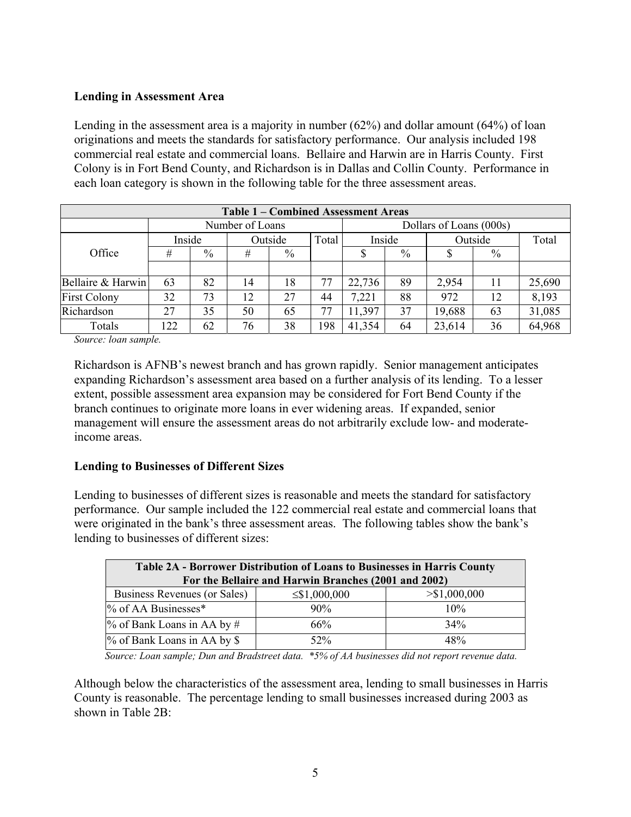### **Lending in Assessment Area**

Lending in the assessment area is a majority in number (62%) and dollar amount (64%) of loan originations and meets the standards for satisfactory performance. Our analysis included 198 commercial real estate and commercial loans. Bellaire and Harwin are in Harris County. First Colony is in Fort Bend County, and Richardson is in Dallas and Collin County. Performance in each loan category is shown in the following table for the three assessment areas.

|                     | Table 1 – Combined Assessment Areas |                            |                 |               |        |        |               |                         |       |        |  |  |
|---------------------|-------------------------------------|----------------------------|-----------------|---------------|--------|--------|---------------|-------------------------|-------|--------|--|--|
|                     |                                     |                            | Number of Loans |               |        |        |               | Dollars of Loans (000s) |       |        |  |  |
|                     |                                     | Inside<br>Outside<br>Total |                 |               | Inside |        | Outside       |                         | Total |        |  |  |
| Office              | #                                   | $\%$                       | #               | $\frac{0}{0}$ |        | \$     | $\frac{0}{0}$ |                         | $\%$  |        |  |  |
|                     |                                     |                            |                 |               |        |        |               |                         |       |        |  |  |
| Bellaire & Harwin   | 63                                  | 82                         | 14              | 18            |        | 22,736 | 89            | 2,954                   | 11    | 25,690 |  |  |
| <b>First Colony</b> | 32                                  | 73                         | 12              | 27            | 44     | 7,221  | 88            | 972                     | 12    | 8,193  |  |  |
| Richardson          | 27                                  | 35                         | 50              | 65            |        | 11,397 | 37            | 19,688                  | 63    | 31,085 |  |  |
| Totals              | 122                                 | 62                         | 76              | 38            | 198    | 41,354 | 64            | 23,614                  | 36    | 64,968 |  |  |

*Source: loan sample.* 

Richardson is AFNB's newest branch and has grown rapidly. Senior management anticipates expanding Richardson's assessment area based on a further analysis of its lending. To a lesser extent, possible assessment area expansion may be considered for Fort Bend County if the branch continues to originate more loans in ever widening areas. If expanded, senior management will ensure the assessment areas do not arbitrarily exclude low- and moderateincome areas.

### **Lending to Businesses of Different Sizes**

Lending to businesses of different sizes is reasonable and meets the standard for satisfactory performance. Our sample included the 122 commercial real estate and commercial loans that were originated in the bank's three assessment areas. The following tables show the bank's lending to businesses of different sizes:

| Table 2A - Borrower Distribution of Loans to Businesses in Harris County<br>For the Bellaire and Harwin Branches (2001 and 2002) |        |     |  |  |  |  |  |  |
|----------------------------------------------------------------------------------------------------------------------------------|--------|-----|--|--|--|--|--|--|
| Business Revenues (or Sales)<br>> \$1,000,000<br>$\leq$ \$1,000,000                                                              |        |     |  |  |  |  |  |  |
| $\%$ of AA Businesses*                                                                                                           | 90%    | 10% |  |  |  |  |  |  |
| $\%$ of Bank Loans in AA by #                                                                                                    | 66%    | 34% |  |  |  |  |  |  |
| % of Bank Loans in AA by \$                                                                                                      | $52\%$ | 48% |  |  |  |  |  |  |

*Source: Loan sample; Dun and Bradstreet data. \*5% of AA businesses did not report revenue data.* 

Although below the characteristics of the assessment area, lending to small businesses in Harris County is reasonable. The percentage lending to small businesses increased during 2003 as shown in Table 2B: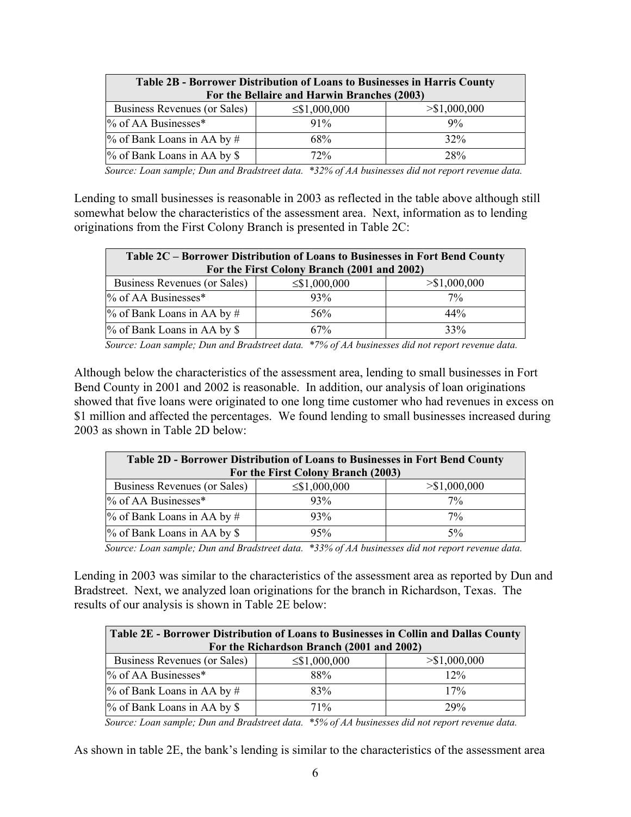| <b>Table 2B - Borrower Distribution of Loans to Businesses in Harris County</b> |                    |                 |  |  |  |  |  |  |  |
|---------------------------------------------------------------------------------|--------------------|-----------------|--|--|--|--|--|--|--|
| For the Bellaire and Harwin Branches (2003)                                     |                    |                 |  |  |  |  |  |  |  |
| Business Revenues (or Sales)                                                    | $\leq$ \$1,000,000 | $>$ \$1,000,000 |  |  |  |  |  |  |  |
| $\%$ of AA Businesses*                                                          | $91\%$             | 9%              |  |  |  |  |  |  |  |
| $\%$ of Bank Loans in AA by #                                                   | 68%                | 32%             |  |  |  |  |  |  |  |
| % of Bank Loans in AA by \$                                                     | 72%                | 28%             |  |  |  |  |  |  |  |

*Source: Loan sample; Dun and Bradstreet data. \*32% of AA businesses did not report revenue data.* 

Lending to small businesses is reasonable in 2003 as reflected in the table above although still somewhat below the characteristics of the assessment area. Next, information as to lending originations from the First Colony Branch is presented in Table 2C:

| Table 2C – Borrower Distribution of Loans to Businesses in Fort Bend County |                    |               |  |  |  |  |  |  |  |  |
|-----------------------------------------------------------------------------|--------------------|---------------|--|--|--|--|--|--|--|--|
| For the First Colony Branch (2001 and 2002)                                 |                    |               |  |  |  |  |  |  |  |  |
| Business Revenues (or Sales)                                                | $\leq$ \$1,000,000 | > \$1,000,000 |  |  |  |  |  |  |  |  |
| % of AA Businesses*                                                         | $93\%$             | $7\%$         |  |  |  |  |  |  |  |  |
| % of Bank Loans in AA by #                                                  | 56%                | 44%           |  |  |  |  |  |  |  |  |
| % of Bank Loans in AA by \$                                                 | 67%                | 33%           |  |  |  |  |  |  |  |  |
|                                                                             |                    |               |  |  |  |  |  |  |  |  |

 *Source: Loan sample; Dun and Bradstreet data. \*7% of AA businesses did not report revenue data.* 

Although below the characteristics of the assessment area, lending to small businesses in Fort Bend County in 2001 and 2002 is reasonable. In addition, our analysis of loan originations showed that five loans were originated to one long time customer who had revenues in excess on \$1 million and affected the percentages. We found lending to small businesses increased during 2003 as shown in Table 2D below:

| Table 2D - Borrower Distribution of Loans to Businesses in Fort Bend County |                    |                 |  |  |  |  |  |  |  |
|-----------------------------------------------------------------------------|--------------------|-----------------|--|--|--|--|--|--|--|
| For the First Colony Branch (2003)                                          |                    |                 |  |  |  |  |  |  |  |
| Business Revenues (or Sales)                                                | $\leq$ \$1,000,000 | $>$ \$1,000,000 |  |  |  |  |  |  |  |
| % of AA Businesses*                                                         | 93%                | 7%              |  |  |  |  |  |  |  |
| $\%$ of Bank Loans in AA by #                                               | 93%                | $7\%$           |  |  |  |  |  |  |  |
| % of Bank Loans in AA by \$                                                 | 95%                | $5\%$           |  |  |  |  |  |  |  |

*Source: Loan sample; Dun and Bradstreet data. \*33% of AA businesses did not report revenue data.* 

Lending in 2003 was similar to the characteristics of the assessment area as reported by Dun and Bradstreet. Next, we analyzed loan originations for the branch in Richardson, Texas. The results of our analysis is shown in Table 2E below:

| Table 2E - Borrower Distribution of Loans to Businesses in Collin and Dallas County |                    |               |  |  |  |  |  |  |  |  |
|-------------------------------------------------------------------------------------|--------------------|---------------|--|--|--|--|--|--|--|--|
| For the Richardson Branch (2001 and 2002)                                           |                    |               |  |  |  |  |  |  |  |  |
| Business Revenues (or Sales)                                                        | $\leq$ \$1,000,000 | > \$1,000,000 |  |  |  |  |  |  |  |  |
| % of AA Businesses*                                                                 | 88%                | 12%           |  |  |  |  |  |  |  |  |
| $\%$ of Bank Loans in AA by #                                                       | 83%                | 17%           |  |  |  |  |  |  |  |  |
| % of Bank Loans in AA by \$                                                         | 71%                | 29%           |  |  |  |  |  |  |  |  |

*Source: Loan sample; Dun and Bradstreet data. \*5% of AA businesses did not report revenue data.* 

As shown in table 2E, the bank's lending is similar to the characteristics of the assessment area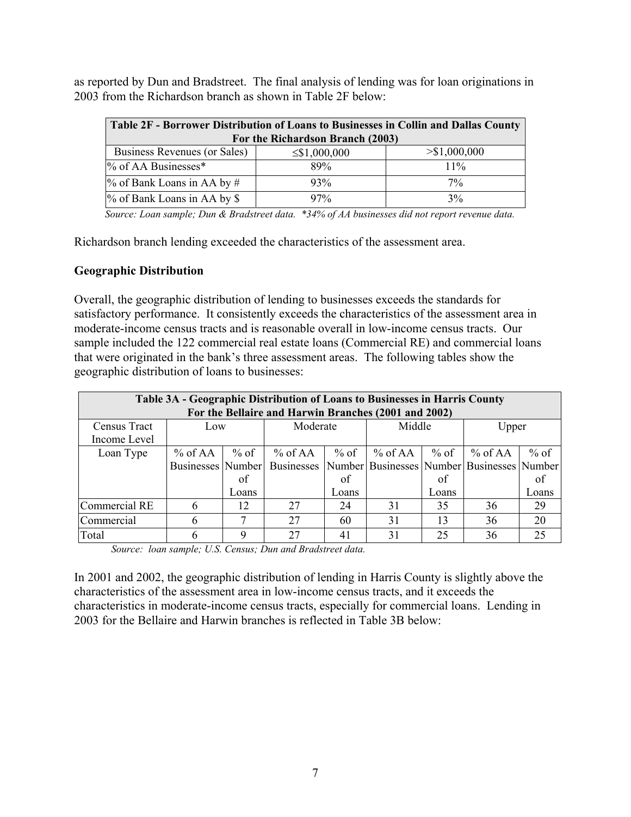as reported by Dun and Bradstreet. The final analysis of lending was for loan originations in 2003 from the Richardson branch as shown in Table 2F below:

| Table 2F - Borrower Distribution of Loans to Businesses in Collin and Dallas County |                    |               |  |  |  |  |  |  |  |
|-------------------------------------------------------------------------------------|--------------------|---------------|--|--|--|--|--|--|--|
| For the Richardson Branch (2003)                                                    |                    |               |  |  |  |  |  |  |  |
| Business Revenues (or Sales)                                                        | $\leq$ \$1,000,000 | > \$1,000,000 |  |  |  |  |  |  |  |
| % of AA Businesses*                                                                 | 89%                | $11\%$        |  |  |  |  |  |  |  |
| $\%$ of Bank Loans in AA by #                                                       | 93%                | $7\%$         |  |  |  |  |  |  |  |
| % of Bank Loans in AA by \$                                                         | $97\%$             | 3%            |  |  |  |  |  |  |  |

*Source: Loan sample; Dun & Bradstreet data. \*34% of AA businesses did not report revenue data.* 

Richardson branch lending exceeded the characteristics of the assessment area.

#### **Geographic Distribution**

Overall, the geographic distribution of lending to businesses exceeds the standards for satisfactory performance. It consistently exceeds the characteristics of the assessment area in moderate-income census tracts and is reasonable overall in low-income census tracts. Our sample included the 122 commercial real estate loans (Commercial RE) and commercial loans that were originated in the bank's three assessment areas. The following tables show the geographic distribution of loans to businesses:

|               | Table 3A - Geographic Distribution of Loans to Businesses in Harris County |        |                   |        |           |        |                                            |        |  |  |  |
|---------------|----------------------------------------------------------------------------|--------|-------------------|--------|-----------|--------|--------------------------------------------|--------|--|--|--|
|               | For the Bellaire and Harwin Branches (2001 and 2002)                       |        |                   |        |           |        |                                            |        |  |  |  |
| Census Tract  | Low                                                                        |        | Moderate          | Middle |           |        | Upper                                      |        |  |  |  |
| Income Level  |                                                                            |        |                   |        |           |        |                                            |        |  |  |  |
| Loan Type     | $%$ of AA                                                                  | $%$ of | $%$ of AA         | $%$ of | $%$ of AA | $%$ of | $%$ of AA                                  | $%$ of |  |  |  |
|               | Businesses Number                                                          |        | <b>Businesses</b> |        |           |        | Number Businesses Number Businesses Number |        |  |  |  |
|               |                                                                            | of     |                   | of     |           | of     |                                            | of     |  |  |  |
|               |                                                                            | Loans  |                   | Loans  |           | Loans  |                                            | Loans  |  |  |  |
| Commercial RE | 6                                                                          | 12     | 27                | 24     | 31        | 35     | 36                                         | 29     |  |  |  |
| Commercial    | 6                                                                          |        | 27                | 60     | 31        | 13     | 36                                         | 20     |  |  |  |
| Total         |                                                                            | 9      | 27                | 41     | 31        | 25     | 36                                         | 25     |  |  |  |

*Source: loan sample; U.S. Census; Dun and Bradstreet data.* 

In 2001 and 2002, the geographic distribution of lending in Harris County is slightly above the characteristics of the assessment area in low-income census tracts, and it exceeds the characteristics in moderate-income census tracts, especially for commercial loans. Lending in 2003 for the Bellaire and Harwin branches is reflected in Table 3B below: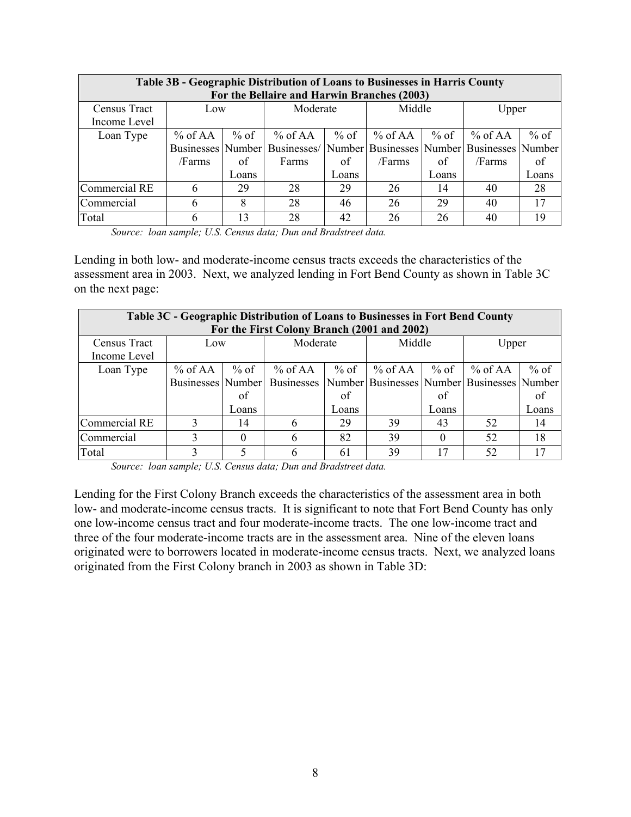|               | Table 3B - Geographic Distribution of Loans to Businesses in Harris County |        |                                                                         |        |           |        |         |        |  |  |  |
|---------------|----------------------------------------------------------------------------|--------|-------------------------------------------------------------------------|--------|-----------|--------|---------|--------|--|--|--|
|               | For the Bellaire and Harwin Branches (2003)                                |        |                                                                         |        |           |        |         |        |  |  |  |
| Census Tract  | Low                                                                        |        | Moderate                                                                |        | Middle    |        | Upper   |        |  |  |  |
| Income Level  |                                                                            |        |                                                                         |        |           |        |         |        |  |  |  |
| Loan Type     | % of $AA$                                                                  | $%$ of | $%$ of AA                                                               | $%$ of | $%$ of AA | $%$ of | % of AA | $%$ of |  |  |  |
|               |                                                                            |        | Businesses Number Businesses Number Businesses Number Businesses Number |        |           |        |         |        |  |  |  |
|               | /Farms                                                                     | of     | Farms                                                                   | of     | /Farms    | of     | /Farms  | of     |  |  |  |
|               |                                                                            | Loans  |                                                                         | Loans  |           | Loans  |         | Loans  |  |  |  |
| Commercial RE | 6                                                                          | 29     | 28                                                                      | 29     | 26        | 14     | 40      | 28     |  |  |  |
| Commercial    | 6                                                                          | 8      | 28                                                                      | 46     | 26        | 29     | 40      | 17     |  |  |  |
| Total         | 6                                                                          | 13     | 28                                                                      | 42     | 26        | 26     | 40      | 19     |  |  |  |

*Source: loan sample; U.S. Census data; Dun and Bradstreet data.* 

Lending in both low- and moderate-income census tracts exceeds the characteristics of the assessment area in 2003. Next, we analyzed lending in Fort Bend County as shown in Table 3C on the next page:

|               | Table 3C - Geographic Distribution of Loans to Businesses in Fort Bend County |          |                   |       |                                                  |          |           |        |  |  |  |
|---------------|-------------------------------------------------------------------------------|----------|-------------------|-------|--------------------------------------------------|----------|-----------|--------|--|--|--|
|               | For the First Colony Branch (2001 and 2002)                                   |          |                   |       |                                                  |          |           |        |  |  |  |
| Census Tract  | Low                                                                           |          | Moderate          |       | Middle                                           |          | Upper     |        |  |  |  |
| Income Level  |                                                                               |          |                   |       |                                                  |          |           |        |  |  |  |
| Loan Type     | $\%$ of AA                                                                    | $%$ of   | $%$ of AA         | % of  | $%$ of AA                                        | % of     | $%$ of AA | $%$ of |  |  |  |
|               | Businesses Number                                                             |          | <b>Businesses</b> |       | Number Businesses   Number   Businesses   Number |          |           |        |  |  |  |
|               |                                                                               | of       |                   | of    |                                                  | of       |           | of     |  |  |  |
|               |                                                                               | Loans    |                   | Loans |                                                  | Loans    |           | Loans  |  |  |  |
| Commercial RE | 3                                                                             | 14       | h                 | 29    | 39                                               | 43       | 52        | 14     |  |  |  |
| Commercial    | 3                                                                             | $\Omega$ | 6                 | 82    | 39                                               | $\theta$ | 52        | 18     |  |  |  |
| Total         | 3                                                                             |          |                   | 61    | 39                                               | 17       | 52        | 17     |  |  |  |

*Source: loan sample; U.S. Census data; Dun and Bradstreet data.* 

Lending for the First Colony Branch exceeds the characteristics of the assessment area in both low- and moderate-income census tracts. It is significant to note that Fort Bend County has only one low-income census tract and four moderate-income tracts. The one low-income tract and three of the four moderate-income tracts are in the assessment area. Nine of the eleven loans originated were to borrowers located in moderate-income census tracts. Next, we analyzed loans originated from the First Colony branch in 2003 as shown in Table 3D: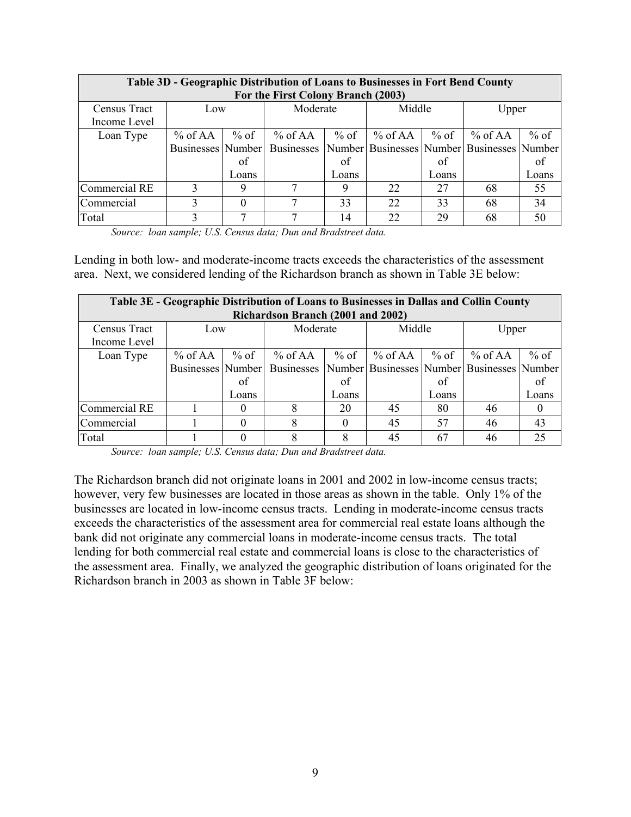|               | Table 3D - Geographic Distribution of Loans to Businesses in Fort Bend County |        |           |          |                                                                 |        |           |        |  |  |  |  |
|---------------|-------------------------------------------------------------------------------|--------|-----------|----------|-----------------------------------------------------------------|--------|-----------|--------|--|--|--|--|
|               | For the First Colony Branch (2003)                                            |        |           |          |                                                                 |        |           |        |  |  |  |  |
| Census Tract  |                                                                               | Low    |           | Moderate |                                                                 | Middle | Upper     |        |  |  |  |  |
| Income Level  |                                                                               |        |           |          |                                                                 |        |           |        |  |  |  |  |
| Loan Type     | $%$ of AA $ $                                                                 | $%$ of | $%$ of AA | $%$ of   | $%$ of AA                                                       | $%$ of | $%$ of AA | $%$ of |  |  |  |  |
|               | Businesses Number                                                             |        |           |          | Businesses   Number   Businesses   Number   Businesses   Number |        |           |        |  |  |  |  |
|               |                                                                               | of     |           | of       |                                                                 | of     |           | of     |  |  |  |  |
|               |                                                                               | Loans  |           | Loans    |                                                                 | Loans  |           | Loans  |  |  |  |  |
| Commercial RE |                                                                               | 9      |           |          | 22                                                              | 27     | 68        | 55     |  |  |  |  |
| Commercial    | 3                                                                             | 0      |           | 33       | 22                                                              | 33     | 68        | 34     |  |  |  |  |
| Total         |                                                                               |        |           | 14       | 22                                                              | 29     | 68        | 50     |  |  |  |  |

*Source: loan sample; U.S. Census data; Dun and Bradstreet data.* 

Lending in both low- and moderate-income tracts exceeds the characteristics of the assessment area. Next, we considered lending of the Richardson branch as shown in Table 3E below:

|                                   | Table 3E - Geographic Distribution of Loans to Businesses in Dallas and Collin County |          |                   |        |           |        |                                            |        |  |  |  |
|-----------------------------------|---------------------------------------------------------------------------------------|----------|-------------------|--------|-----------|--------|--------------------------------------------|--------|--|--|--|
| Richardson Branch (2001 and 2002) |                                                                                       |          |                   |        |           |        |                                            |        |  |  |  |
| Census Tract                      | Low                                                                                   |          | Moderate          |        | Middle    |        | Upper                                      |        |  |  |  |
| Income Level                      |                                                                                       |          |                   |        |           |        |                                            |        |  |  |  |
| Loan Type                         | $%$ of AA $\parallel$                                                                 | $%$ of   | $%$ of AA         | $%$ of | % of $AA$ | $%$ of | % of AA                                    | $%$ of |  |  |  |
|                                   | Businesses Number                                                                     |          | <b>Businesses</b> |        |           |        | Number Businesses Number Businesses Number |        |  |  |  |
|                                   |                                                                                       | of       |                   | of     |           | of     |                                            | of     |  |  |  |
|                                   |                                                                                       | Loans    |                   | Loans  |           | Loans  |                                            | Loans  |  |  |  |
| Commercial RE                     |                                                                                       | $\theta$ |                   | 20     | 45        | 80     | 46                                         |        |  |  |  |
| Commercial                        |                                                                                       | $\Omega$ | 8                 |        | 45        | 57     | 46                                         | 43     |  |  |  |
| Total                             |                                                                                       |          | 8                 |        | 45        | 67     | 46                                         | 25     |  |  |  |

*Source: loan sample; U.S. Census data; Dun and Bradstreet data.* 

The Richardson branch did not originate loans in 2001 and 2002 in low-income census tracts; however, very few businesses are located in those areas as shown in the table. Only 1% of the businesses are located in low-income census tracts. Lending in moderate-income census tracts exceeds the characteristics of the assessment area for commercial real estate loans although the bank did not originate any commercial loans in moderate-income census tracts. The total lending for both commercial real estate and commercial loans is close to the characteristics of the assessment area. Finally, we analyzed the geographic distribution of loans originated for the Richardson branch in 2003 as shown in Table 3F below: